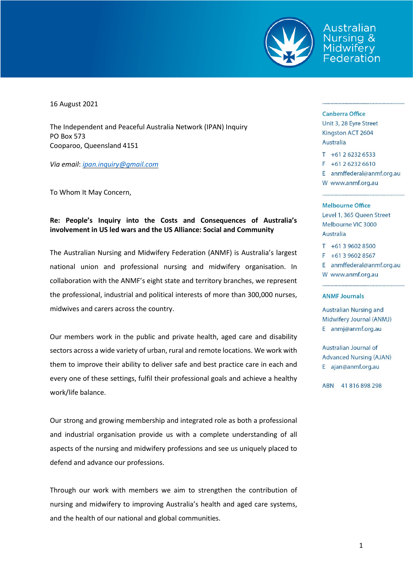

Australian ursing & Federation

16 August 2021

The Independent and Peaceful Australia Network (IPAN) Inquiry PO Box 573 Cooparoo, Queensland 4151

*Via email*: *[ipan.inquiry@gmail.com](mailto:ipan.inquiry@gmail.com)*

To Whom It May Concern,

## **Re: People's Inquiry into the Costs and Consequences of Australia's involvement in US led wars and the US Alliance: Social and Community**

The Australian Nursing and Midwifery Federation (ANMF) is Australia's largest national union and professional nursing and midwifery organisation. In collaboration with the ANMF's eight state and territory branches, we represent the professional, industrial and political interests of more than 300,000 nurses, midwives and carers across the country.

Our members work in the public and private health, aged care and disability sectors across a wide variety of urban, rural and remote locations. We work with them to improve their ability to deliver safe and best practice care in each and every one of these settings, fulfil their professional goals and achieve a healthy work/life balance.

Our strong and growing membership and integrated role as both a professional and industrial organisation provide us with a complete understanding of all aspects of the nursing and midwifery professions and see us uniquely placed to defend and advance our professions.

Through our work with members we aim to strengthen the contribution of nursing and midwifery to improving Australia's health and aged care systems, and the health of our national and global communities.

## **Canberra Office**

Unit 3, 28 Eyre Street Kingston ACT 2604 Australia

 $T + 61262326533$  $F + 61262326610$ E anmffederal@anmf.org.au W www.anmf.org.au

## **Melbourne Office**

Level 1, 365 Queen Street Melbourne VIC 3000 Australia

 $T + 61396028500$  $F + 61396028567$ E anmffederal@anmf.org.au W www.anmf.org.au

## **ANMF Journals**

**Australian Nursing and** Midwifery Journal (ANMJ) E anmj@anmf.org.au

Australian Journal of **Advanced Nursing (AJAN)** E ajan@anmf.org.au

ABN 41816898298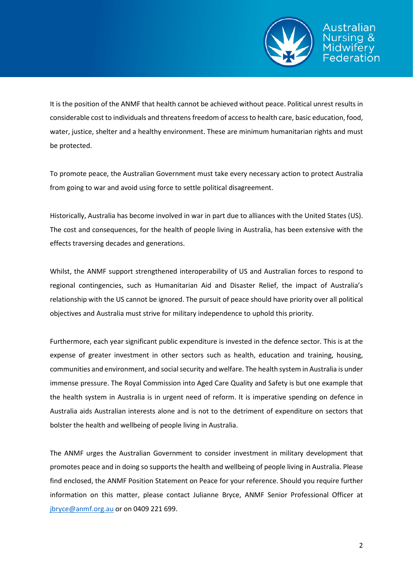

It is the position of the ANMF that health cannot be achieved without peace. Political unrest results in considerable cost to individuals and threatens freedom of access to health care, basic education, food, water, justice, shelter and a healthy environment. These are minimum humanitarian rights and must be protected.

To promote peace, the Australian Government must take every necessary action to protect Australia from going to war and avoid using force to settle political disagreement.

Historically, Australia has become involved in war in part due to alliances with the United States (US). The cost and consequences, for the health of people living in Australia, has been extensive with the effects traversing decades and generations.

Whilst, the ANMF support strengthened interoperability of US and Australian forces to respond to regional contingencies, such as Humanitarian Aid and Disaster Relief, the impact of Australia's relationship with the US cannot be ignored. The pursuit of peace should have priority over all political objectives and Australia must strive for military independence to uphold this priority.

Furthermore, each year significant public expenditure is invested in the defence sector. This is at the expense of greater investment in other sectors such as health, education and training, housing, communities and environment, and social security and welfare. The health system in Australia is under immense pressure. The Royal Commission into Aged Care Quality and Safety is but one example that the health system in Australia is in urgent need of reform. It is imperative spending on defence in Australia aids Australian interests alone and is not to the detriment of expenditure on sectors that bolster the health and wellbeing of people living in Australia.

The ANMF urges the Australian Government to consider investment in military development that promotes peace and in doing so supports the health and wellbeing of people living in Australia. Please find enclosed, the ANMF Position Statement on Peace for your reference. Should you require further information on this matter, please contact Julianne Bryce, ANMF Senior Professional Officer at [jbryce@anmf.org.au](mailto:jbryce@anmf.org.au) or on 0409 221 699.